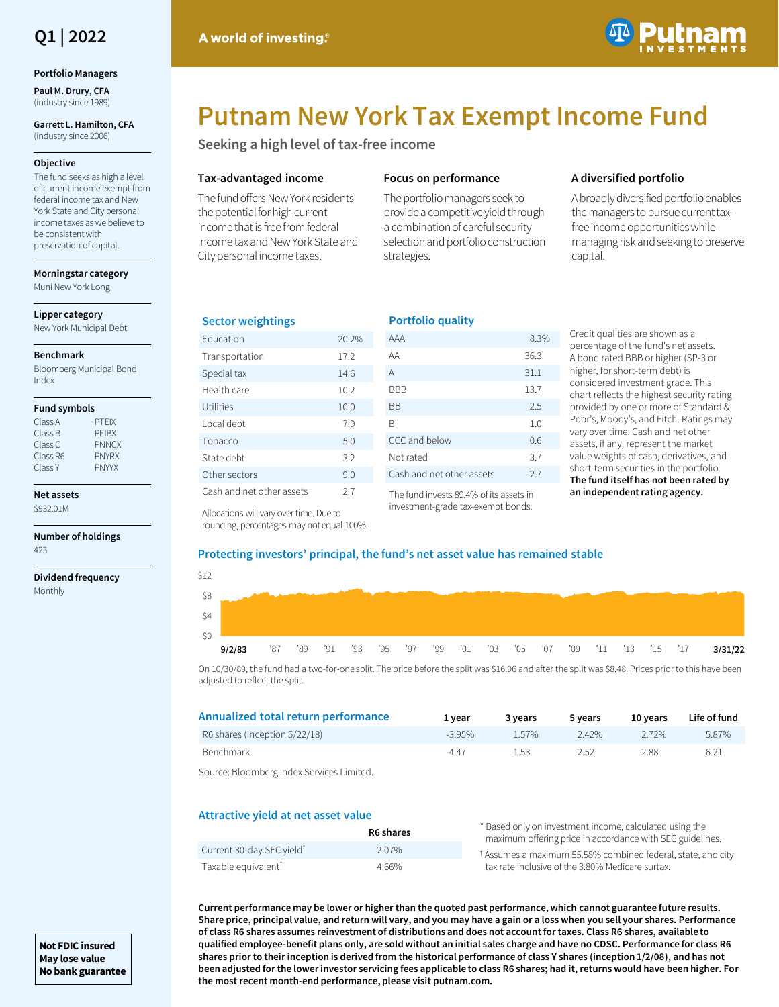

#### **Portfolio Managers**

**Paul M. Drury, CFA**  (industry since 1989)

**Garrett L. Hamilton, CFA**  (industry since 2006)

#### **Objective**

The fund seeks as high a level of current income exempt from federal income tax and New York State and City personal income taxes as we believe to be consistent with preservation of capital.

**Morningstar category** Muni New York Long

**Lipper category**

New York Municipal Debt

#### **Benchmark**

Bloomberg Municipal Bond Index

#### **Fund symbols**

| Class A  | <b>PTFIX</b> |
|----------|--------------|
| Class B  | PFIRX        |
| Class C  | <b>PNNCX</b> |
| Class R6 | <b>PNYRX</b> |
| Class Y  | <b>PNYYX</b> |

#### **Net assets**

\$932.01M

**Number of holdings** 423

**Dividend frequency** Monthly



# **Putnam New York Tax Exempt Income Fund**

**Seeking a high level of tax-free income**

#### **Tax-advantaged income**

The fund offers New York residents the potential for high current income that is free from federal income tax and New York State and City personal income taxes.

# **Focus on performance**

**Portfolio quality**

The portfolio managers seek to provide a competitive yield through a combination of careful security selection and portfolio construction strategies.

# **A diversified portfolio**

A broadly diversified portfolio enables the managers to pursue current taxfree income opportunities while managing risk and seeking to preserve capital.

# **Sector weightings**

| <b>Education</b>          | 20.2% |
|---------------------------|-------|
| Transportation            | 17.2  |
| Special tax               | 14.6  |
| Health care               | 10.2  |
| Utilities                 | 10.0  |
| Local debt                | 7.9   |
| Tobacco                   | 5.0   |
| State debt                | 3.2   |
| Other sectors             | 9.0   |
| Cash and net other assets | 27    |

| n ortrodio quatrity       |      |
|---------------------------|------|
| AAA                       | 8.3% |
| AA                        | 36.3 |
| A                         | 31.1 |
| <b>BBB</b>                | 13.7 |
| ВB                        | 2.5  |
| B                         | 1.0  |
| CCC and below             | 0.6  |
| Not rated                 | 3.7  |
| Cash and net other assets | 2.7  |
|                           |      |

The fund invests 89.4% of its assets in investment-grade tax-exempt bonds.

Credit qualities are shown as a percentage of the fund's net assets. A bond rated BBB or higher (SP-3 or higher, for short-term debt) is considered investment grade. This chart reflects the highest security rating provided by one or more of Standard & Poor's, Moody's, and Fitch. Ratings may vary over time. Cash and net other assets, if any, represent the market value weights of cash, derivatives, and short-term securities in the portfolio. **The fund itself has not been rated by an independent rating agency.**

#### Allocations will vary over time. Due to rounding, percentages may not equal 100%.

# **Protecting investors' principal, the fund's net asset value has remained stable**

| \$12  |        |  |  |  |  |  |  |  |  |                                                                                      |
|-------|--------|--|--|--|--|--|--|--|--|--------------------------------------------------------------------------------------|
| \$8   |        |  |  |  |  |  |  |  |  |                                                                                      |
| - \$4 |        |  |  |  |  |  |  |  |  |                                                                                      |
| \$0   |        |  |  |  |  |  |  |  |  |                                                                                      |
|       | 9/2/83 |  |  |  |  |  |  |  |  | 37 39 31 321 323 39 39 39 301 303 305 307 309 311 313 314 312 <mark>3 3/31/22</mark> |

On 10/30/89, the fund had a two-for-one split. The price before the split was \$16.96 and after the split was \$8.48. Prices prior to this have been adjusted to reflect the split.

| Annualized total return performance | 1 vear  | 3 years | 5 years  | 10 vears | Life of fund |
|-------------------------------------|---------|---------|----------|----------|--------------|
| R6 shares (Inception 5/22/18)       | $-395%$ | 1.57%   | $2.42\%$ | 2 72%    | 5.87%        |
| Benchmark                           | $-4.47$ | 1.53    | 2.52     | 288      | 6.21         |
| .                                   |         |         |          |          |              |

Source: Bloomberg Index Services Limited.

# **Attractive yield at net asset value**

|                                 | R6 shares | * Based only on investment income, calculated using the<br>maximum offering price in accordance with SEC guidelines. |
|---------------------------------|-----------|----------------------------------------------------------------------------------------------------------------------|
| Current 30-day SEC yield        | 2.07%     | <sup>†</sup> Assumes a maximum 55.58% combined federal, state, and city                                              |
| Taxable equivalent <sup>T</sup> | 4.66%     | tax rate inclusive of the 3.80% Medicare surtax.                                                                     |

**Current performance may be lower or higher than the quoted past performance, which cannot guarantee future results. Share price, principal value, and return will vary, and you may have a gain or a loss when you sell your shares. Performance of class R6 shares assumes reinvestment of distributions and does not account for taxes. Class R6 shares, available to qualified employee-benefit plans only, are sold without an initial sales charge and have no CDSC. Performance for class R6 shares prior to their inception is derived from the historical performance of class Y shares (inception 1/2/08), and has not been adjusted for the lower investor servicing fees applicable to class R6 shares; had it, returns would have been higher. For the most recent month-end performance, please visit putnam.com.**